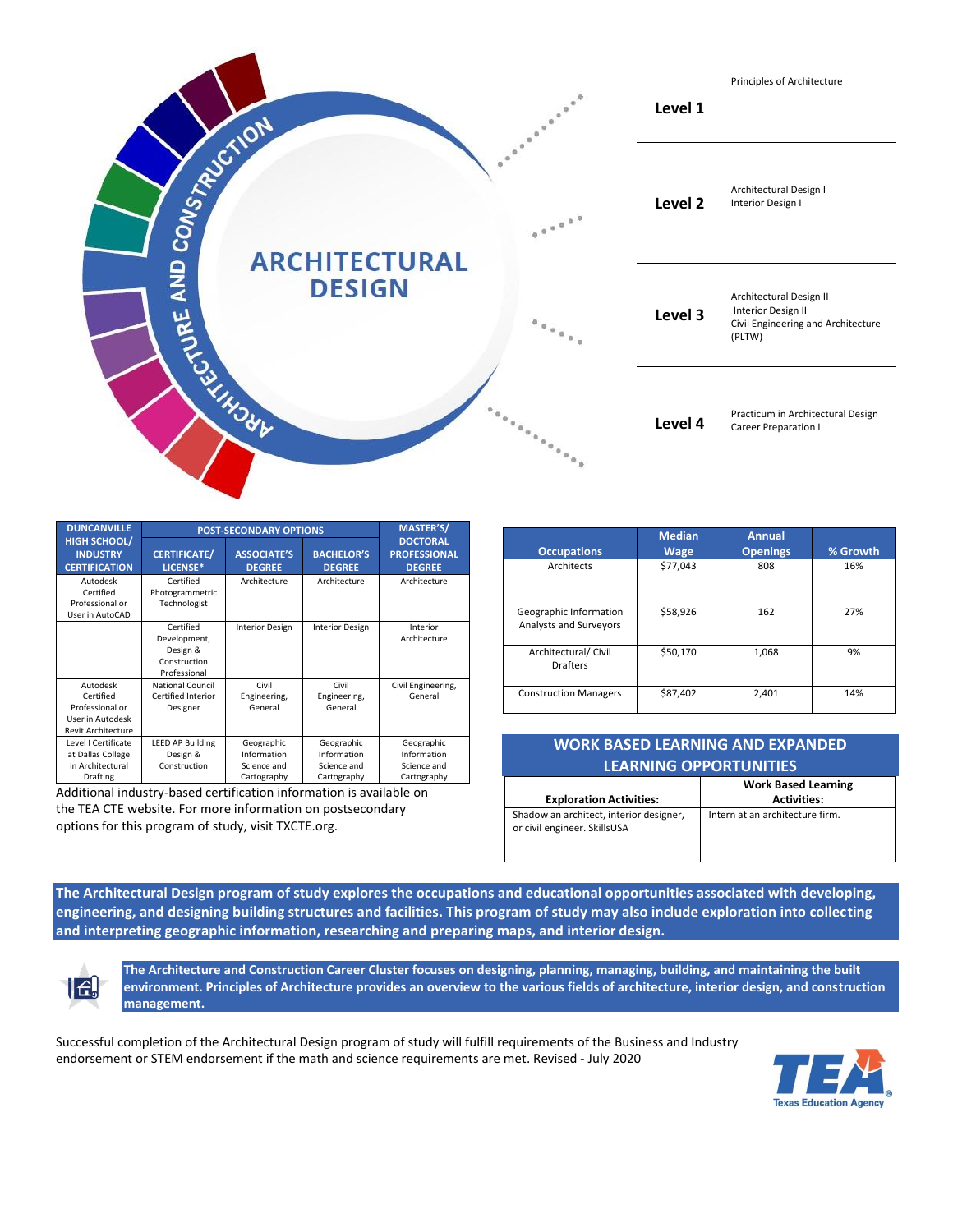

| <b>DUNCANVILLE</b>                                                                        | <b>POST-SECONDARY OPTIONS</b>                                         | <b>MASTER'S/</b>                                        |                                                         |                                                         |
|-------------------------------------------------------------------------------------------|-----------------------------------------------------------------------|---------------------------------------------------------|---------------------------------------------------------|---------------------------------------------------------|
| <b>HIGH SCHOOL/</b><br><b>INDUSTRY</b><br><b>CERTIFICATION</b>                            | <b>CERTIFICATE/</b><br>LICENSE*                                       | <b>ASSOCIATE'S</b><br><b>DEGREE</b>                     | <b>BACHELOR'S</b><br><b>DEGREE</b>                      | <b>DOCTORAL</b><br><b>PROFESSIONAL</b><br><b>DEGREE</b> |
| Autodesk<br>Certified<br>Professional or<br>User in AutoCAD                               | Certified<br>Photogrammetric<br>Technologist                          | Architecture                                            | Architecture                                            | Architecture                                            |
|                                                                                           | Certified<br>Development,<br>Design &<br>Construction<br>Professional | <b>Interior Design</b>                                  | <b>Interior Design</b>                                  | Interior<br>Architecture                                |
| Autodesk<br>Certified<br>Professional or<br>User in Autodesk<br><b>Revit Architecture</b> | <b>National Council</b><br>Certified Interior<br>Designer             | Civil<br>Engineering,<br>General                        | Civil<br>Engineering,<br>General                        | Civil Engineering,<br>General                           |
| Level I Certificate<br>at Dallas College<br>in Architectural<br>Drafting                  | <b>LEED AP Building</b><br>Design &<br>Construction                   | Geographic<br>Information<br>Science and<br>Cartography | Geographic<br>Information<br>Science and<br>Cartography | Geographic<br>Information<br>Science and<br>Cartography |

Additional industry-based certification information is available on the TEA CTE website. For more information on postsecondary options for this program of study, visit TXCTE.org.

|                                                  | <b>Median</b> | <b>Annual</b>   |          |
|--------------------------------------------------|---------------|-----------------|----------|
| <b>Occupations</b>                               | <b>Wage</b>   | <b>Openings</b> | % Growth |
| <b>Architects</b>                                | \$77,043      | 808             | 16%      |
| Geographic Information<br>Analysts and Surveyors | \$58,926      | 162             | 27%      |
| Architectural/ Civil<br><b>Drafters</b>          | \$50,170      | 1,068           | 9%       |
| <b>Construction Managers</b>                     | \$87,402      | 2,401           | 14%      |

| WORK BASED LEARNING AND EXPANDED<br><b>LEARNING OPPORTUNITIES</b>       |                                                  |  |  |  |  |
|-------------------------------------------------------------------------|--------------------------------------------------|--|--|--|--|
| <b>Exploration Activities:</b>                                          | <b>Work Based Learning</b><br><b>Activities:</b> |  |  |  |  |
| Shadow an architect, interior designer,<br>or civil engineer. SkillsUSA | Intern at an architecture firm.                  |  |  |  |  |

**The Architectural Design program of study explores the occupations and educational opportunities associated with developing, engineering, and designing building structures and facilities. This program of study may also include exploration into collecting and interpreting geographic information, researching and preparing maps, and interior design.**



**The Architecture and Construction Career Cluster focuses on designing, planning, managing, building, and maintaining the built environment. Principles of Architecture provides an overview to the various fields of architecture, interior design, and construction management.**

Successful completion of the Architectural Design program of study will fulfill requirements of the Business and Industry endorsement or STEM endorsement if the math and science requirements are met. Revised - July 2020